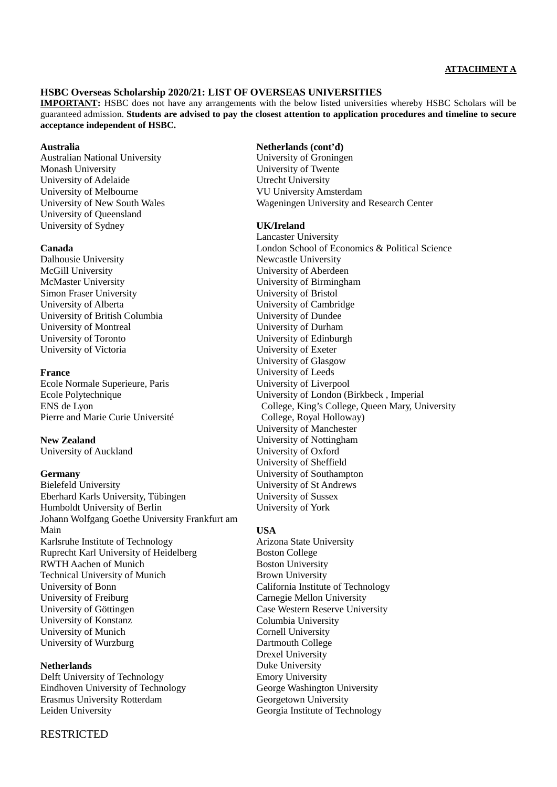## **ATTACHMENT A**

## **HSBC Overseas Scholarship 2020/21: LIST OF OVERSEAS UNIVERSITIES**

**IMPORTANT:** HSBC does not have any arrangements with the below listed universities whereby HSBC Scholars will be guaranteed admission. **Students are advised to pay the closest attention to application procedures and timeline to secure acceptance independent of HSBC.**

#### **Australia**

Australian National University Monash University University of Adelaide University of Melbourne University of New South Wales University of Queensland University of Sydney

## **Canada**

Dalhousie University McGill University McMaster University Simon Fraser University University of Alberta University of British Columbia University of Montreal University of Toronto University of Victoria

## **France**

Ecole Normale Superieure, Paris Ecole Polytechnique ENS de Lyon Pierre and Marie Curie Université

## **New Zealand**

University of Auckland

## **Germany**

Bielefeld University Eberhard Karls University, Tübingen Humboldt University of Berlin Johann Wolfgang Goethe University Frankfurt am Main Karlsruhe Institute of Technology Ruprecht Karl University of Heidelberg RWTH Aachen of Munich Technical University of Munich University of Bonn University of Freiburg University of Göttingen University of Konstanz University of Munich University of Wurzburg

#### **Netherlands**

Delft University of Technology Eindhoven University of Technology Erasmus University Rotterdam Leiden University

#### **Netherlands (cont'd)**

University of Groningen University of Twente Utrecht University VU University Amsterdam Wageningen University and Research Center

## **UK/Ireland**

Lancaster University London School of Economics & Political Science Newcastle University University of Aberdeen University of Birmingham University of Bristol University of Cambridge University of Dundee University of Durham University of Edinburgh University of Exeter University of Glasgow University of Leeds University of Liverpool University of London (Birkbeck , Imperial College, King's College, Queen Mary, University College, Royal Holloway) University of Manchester University of Nottingham University of Oxford University of Sheffield University of Southampton University of St Andrews University of Sussex University of York

#### **USA**

Arizona State University Boston College Boston University Brown University California Institute of Technology Carnegie Mellon University Case Western Reserve University Columbia University Cornell University Dartmouth College Drexel University Duke University Emory University George Washington University Georgetown University Georgia Institute of Technology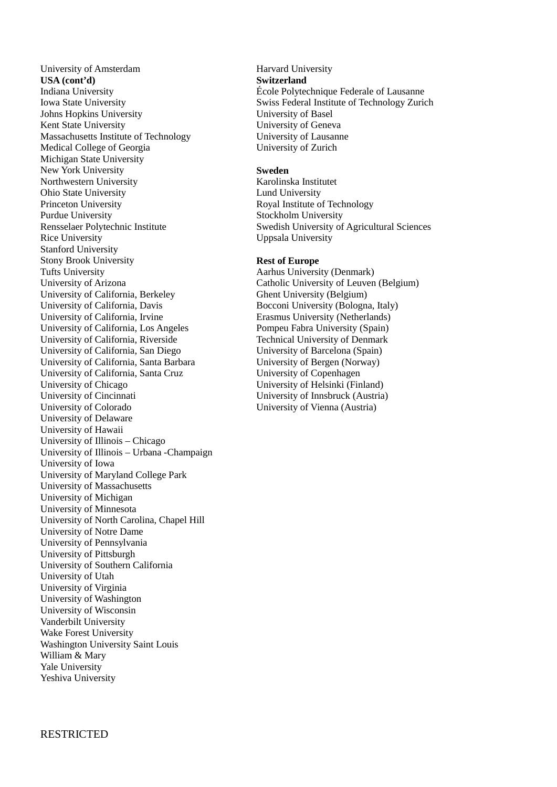University of Amsterdam **USA (cont'd)** Indiana University Iowa State University Johns Hopkins University Kent State University Massachusetts Institute of Technology Medical College of Georgia Michigan State University New York University Northwestern University Ohio State University Princeton University Purdue University Rensselaer Polytechnic Institute Rice University Stanford University Stony Brook University Tufts University University of Arizona University of California, Berkeley University of California, Davis University of California, Irvine University of California, Los Angeles University of California, Riverside University of California, San Diego University of California, Santa Barbara University of California, Santa Cruz University of Chicago University of Cincinnati University of Colorado University of Delaware University of Hawaii University of Illinois – Chicago University of Illinois – Urbana -Champaign University of Iowa University of Maryland College Park University of Massachusetts University of Michigan University of Minnesota University of North Carolina, Chapel Hill University of Notre Dame University of Pennsylvania University of Pittsburgh University of Southern California University of Utah University of Virginia University of Washington University of Wisconsin Vanderbilt University Wake Forest University Washington University Saint Louis William & Mary Yale University Yeshiva University

Harvard University **Switzerland** École Polytechnique Federale of Lausanne Swiss Federal Institute of Technology Zurich University of Basel University of Geneva University of Lausanne University of Zurich

## **Sweden**

Karolinska Institutet Lund University Royal Institute of Technology Stockholm University Swedish University of Agricultural Sciences Uppsala University

## **Rest of Europe**

Aarhus University (Denmark) Catholic University of Leuven (Belgium) Ghent University (Belgium) Bocconi University (Bologna, Italy) Erasmus University (Netherlands) Pompeu Fabra University (Spain) Technical University of Denmark University of Barcelona (Spain) University of Bergen (Norway) University of Copenhagen University of Helsinki (Finland) University of Innsbruck (Austria) University of Vienna (Austria)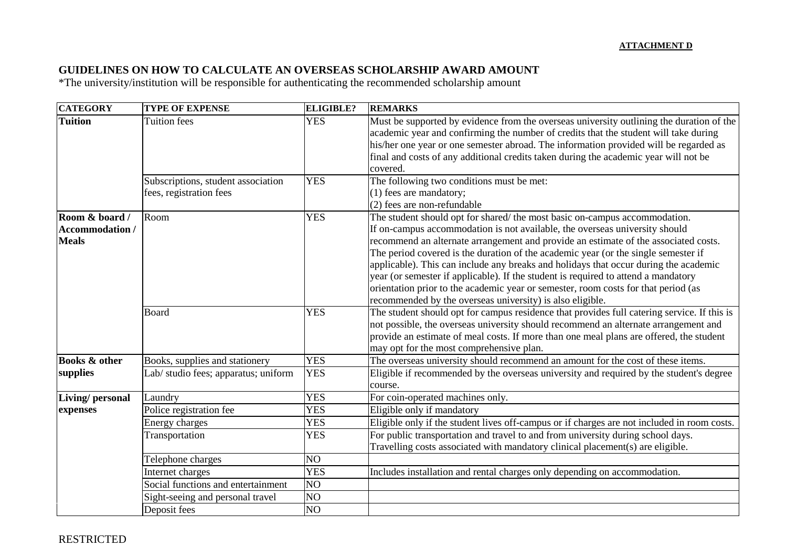## **GUIDELINES ON HOW TO CALCULATE AN OVERSEAS SCHOLARSHIP AWARD AMOUNT**

\*The university/institution will be responsible for authenticating the recommended scholarship amount

| <b>CATEGORY</b>                                          | <b>TYPE OF EXPENSE</b>                                        | <b>ELIGIBLE?</b> | <b>REMARKS</b>                                                                                                                                                                                                                                                                                                                                                                                                                                                                                                                                                                                                                                                         |  |  |
|----------------------------------------------------------|---------------------------------------------------------------|------------------|------------------------------------------------------------------------------------------------------------------------------------------------------------------------------------------------------------------------------------------------------------------------------------------------------------------------------------------------------------------------------------------------------------------------------------------------------------------------------------------------------------------------------------------------------------------------------------------------------------------------------------------------------------------------|--|--|
| <b>Tuition</b>                                           | <b>Tuition</b> fees                                           | <b>YES</b>       | Must be supported by evidence from the overseas university outlining the duration of the<br>academic year and confirming the number of credits that the student will take during<br>his/her one year or one semester abroad. The information provided will be regarded as<br>final and costs of any additional credits taken during the academic year will not be<br>covered.                                                                                                                                                                                                                                                                                          |  |  |
|                                                          | Subscriptions, student association<br>fees, registration fees | <b>YES</b>       | The following two conditions must be met:<br>(1) fees are mandatory;<br>(2) fees are non-refundable                                                                                                                                                                                                                                                                                                                                                                                                                                                                                                                                                                    |  |  |
| Room & board /<br><b>Accommodation /</b><br><b>Meals</b> | Room                                                          | <b>YES</b>       | The student should opt for shared/the most basic on-campus accommodation.<br>If on-campus accommodation is not available, the overseas university should<br>recommend an alternate arrangement and provide an estimate of the associated costs.<br>The period covered is the duration of the academic year (or the single semester if<br>applicable). This can include any breaks and holidays that occur during the academic<br>year (or semester if applicable). If the student is required to attend a mandatory<br>orientation prior to the academic year or semester, room costs for that period (as<br>recommended by the overseas university) is also eligible. |  |  |
|                                                          | Board                                                         | <b>YES</b>       | The student should opt for campus residence that provides full catering service. If this is<br>not possible, the overseas university should recommend an alternate arrangement and<br>provide an estimate of meal costs. If more than one meal plans are offered, the student<br>may opt for the most comprehensive plan.                                                                                                                                                                                                                                                                                                                                              |  |  |
| <b>Books &amp; other</b>                                 | Books, supplies and stationery                                | <b>YES</b>       | The overseas university should recommend an amount for the cost of these items.                                                                                                                                                                                                                                                                                                                                                                                                                                                                                                                                                                                        |  |  |
| supplies                                                 | Lab/ studio fees; apparatus; uniform                          | <b>YES</b>       | Eligible if recommended by the overseas university and required by the student's degree<br>course.                                                                                                                                                                                                                                                                                                                                                                                                                                                                                                                                                                     |  |  |
| Living/ personal                                         | Laundry                                                       | <b>YES</b>       | For coin-operated machines only.                                                                                                                                                                                                                                                                                                                                                                                                                                                                                                                                                                                                                                       |  |  |
| expenses                                                 | Police registration fee                                       | <b>YES</b>       | Eligible only if mandatory                                                                                                                                                                                                                                                                                                                                                                                                                                                                                                                                                                                                                                             |  |  |
|                                                          | Energy charges                                                | <b>YES</b>       | Eligible only if the student lives off-campus or if charges are not included in room costs.                                                                                                                                                                                                                                                                                                                                                                                                                                                                                                                                                                            |  |  |
|                                                          | Transportation                                                | <b>YES</b>       | For public transportation and travel to and from university during school days.<br>Travelling costs associated with mandatory clinical placement(s) are eligible.                                                                                                                                                                                                                                                                                                                                                                                                                                                                                                      |  |  |
|                                                          | Telephone charges                                             | NO <sub>1</sub>  |                                                                                                                                                                                                                                                                                                                                                                                                                                                                                                                                                                                                                                                                        |  |  |
|                                                          | Internet charges                                              | <b>YES</b>       | Includes installation and rental charges only depending on accommodation.                                                                                                                                                                                                                                                                                                                                                                                                                                                                                                                                                                                              |  |  |
|                                                          | Social functions and entertainment                            | NO <sub>1</sub>  |                                                                                                                                                                                                                                                                                                                                                                                                                                                                                                                                                                                                                                                                        |  |  |
|                                                          | Sight-seeing and personal travel                              | NO <sub>1</sub>  |                                                                                                                                                                                                                                                                                                                                                                                                                                                                                                                                                                                                                                                                        |  |  |
|                                                          | Deposit fees                                                  | N <sub>O</sub>   |                                                                                                                                                                                                                                                                                                                                                                                                                                                                                                                                                                                                                                                                        |  |  |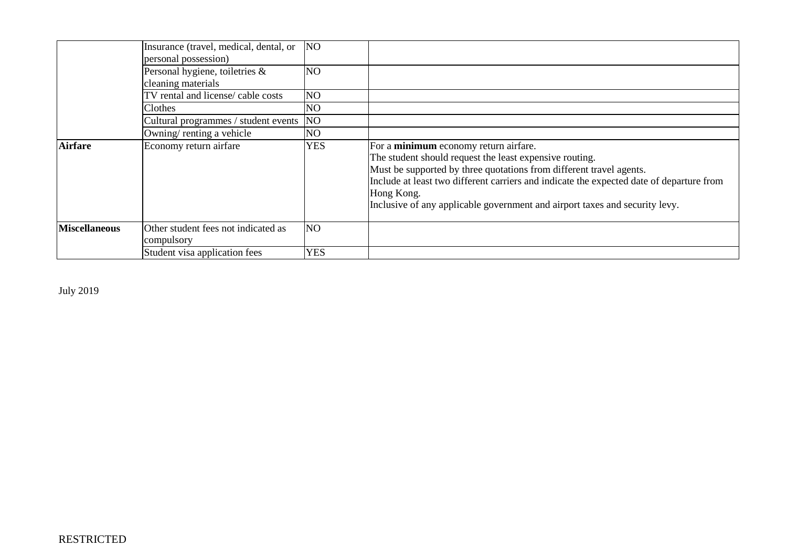|                      | Insurance (travel, medical, dental, or<br>personal possession) | N <sub>O</sub> |                                                                                                                                                                                                                                                                                                                                                                  |
|----------------------|----------------------------------------------------------------|----------------|------------------------------------------------------------------------------------------------------------------------------------------------------------------------------------------------------------------------------------------------------------------------------------------------------------------------------------------------------------------|
|                      | Personal hygiene, toiletries &<br>cleaning materials           | NO             |                                                                                                                                                                                                                                                                                                                                                                  |
|                      | TV rental and license/ cable costs                             | NO.            |                                                                                                                                                                                                                                                                                                                                                                  |
|                      | Clothes                                                        | NO.            |                                                                                                                                                                                                                                                                                                                                                                  |
|                      | Cultural programmes / student events                           | <b>NO</b>      |                                                                                                                                                                                                                                                                                                                                                                  |
|                      | Owning/renting a vehicle                                       | NO.            |                                                                                                                                                                                                                                                                                                                                                                  |
| <b>Airfare</b>       | Economy return airfare                                         | <b>YES</b>     | For a minimum economy return airfare.<br>The student should request the least expensive routing.<br>Must be supported by three quotations from different travel agents.<br>Include at least two different carriers and indicate the expected date of departure from<br>Hong Kong.<br>Inclusive of any applicable government and airport taxes and security levy. |
| <b>Miscellaneous</b> | Other student fees not indicated as<br>compulsory              | NO             |                                                                                                                                                                                                                                                                                                                                                                  |
|                      | Student visa application fees                                  | <b>YES</b>     |                                                                                                                                                                                                                                                                                                                                                                  |

July 2019